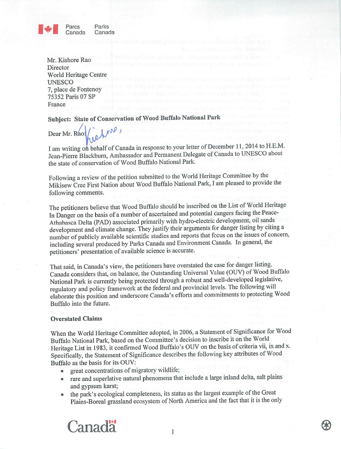

Mr. Kishore Rao Director World Heritage Centre **UNESCO** 7, place de Fontenoy 75352 Paris 07 SP France

Subject: State of Conservation of Wood Buffalo National Park

 $M_{\text{N}}$ 

Dear Mr. Rao:

I am writing on behalf of Canada in response to your letter of December 11, 2014 to H.E.M. Jean-Pierre Blackburn, Ambassador and Permanent Delegate of Canada to UNESCO about the state of conservation of Wood Buffalo National Park.

Following a review of the petition submitted to the World Heritage Committee by the Mikisew Cree First Nation about Wood Buffalo National Park, I am pleased to provide the following comments.

The petitioners believe that Wood Buffalo should be inscribed on the List of World Heritage In Danger on the basis of a number of ascertained and potential dangers facing the Peace-Athabasca Delta (PAD) associated primarily with hydro-electric development, oil sands development and climate change. They justify their arguments for danger listing by citing a number of publicly available scientific studies and reports that focus on the issues of concern, including several produced by Parks Canada and Environment Canada. In general, the petitioners' presentation of available science is accurate.

That said, in Canada's view, the petitioners have overstated the case for danger listing. Canada considers that, on balance, the Outstanding Universal Value (OUV) of Wood Buffalo National Park is currently being protected through a robust and well-developed legislative, regulatory and policy framework at the federal and provincial levels. The following will elaborate this position and underscore Canada's efforts and commitments to protecting Wood Buffalo into the future.

### **Overstated Claims**

When the World Heritage Committee adopted, in 2006, a Statement of Significance for Wood Buffalo National Park, based on the Committee's decision to inscribe it on the World Heritage List in 1983, it confirmed Wood Buffalo's OUV on the basis of criteria vii, ix and x. Specifically, the Statement of Significance describes the following key attributes of Wood Buffalo as the basis for its OUV:

- great concentrations of migratory wildlife;
- rare and superlative natural phenomena that include a large inland delta, salt plains and gypsum karst;
- the park's ecological completeness, its status as the largest example of the Great Plains-Boreal grassland ecosystem of North America and the fact that it is the only

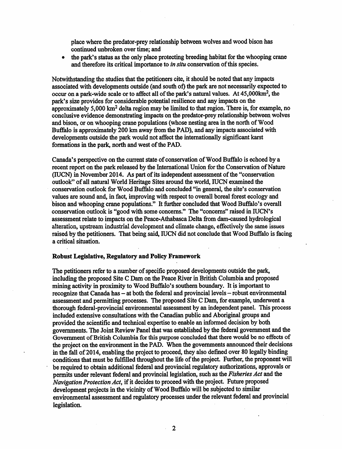place where the predator-prey relationship between wolves and wood bison has continued unbroken over time; and

the park's status as the only place protecting breeding habitat for the whooping crane  $\bullet$ and therefore its critical importance to *in situ* conservation of this species.

Notwithstanding the studies that the petitioners cite, it should be noted that any impacts associated with developments outside (and south of) the park are not necessarily expected to occur on a park-wide scale or to affect all of the park's natural values. At 45,000km<sup>2</sup>, the park's size provides for considerable potential resilience and any impacts on the approximately 5,000 km<sup>2</sup> delta region may be limited to that region. There is, for example, no conclusive evidence demonstrating impacts on the predator-prey relationship between wolves and bison, or on whooping crane populations (whose nesting area in the north of Wood Buffalo is approximately 200 km away from the PAD), and any impacts associated with developments outside the park would not affect the internationally significant karst formations in the park, north and west of the PAD.

Canada's perspective on the current state of conservation of Wood Buffalo is echoed by a recent report on the park released by the International Union for the Conservation of Nature (IUCN) in November 2014. As part of its independent assessment of the "conservation" outlook" of all natural World Heritage Sites around the world, IUCN examined the conservation outlook for Wood Buffalo and concluded "in general, the site's conservation values are sound and, in fact, improving with respect to overall boreal forest ecology and bison and whooping crane populations." It further concluded that Wood Buffalo's overall conservation outlook is "good with some concerns." The "concerns" raised in IUCN's assessment relate to impacts on the Peace-Athabasca Delta from dam-caused hydrological alteration, upstream industrial development and climate change, effectively the same issues raised by the petitioners. That being said, IUCN did not conclude that Wood Buffalo is facing a critical situation.

### **Robust Legislative, Regulatory and Policy Framework**

The petitioners refer to a number of specific proposed developments outside the park, including the proposed Site C Dam on the Peace River in British Columbia and proposed mining activity in proximity to Wood Buffalo's southern boundary. It is important to recognize that Canada has - at both the federal and provincial levels - robust environmental assessment and permitting processes. The proposed Site C Dam, for example, underwent a thorough federal-provincial environmental assessment by an independent panel. This process included extensive consultations with the Canadian public and Aboriginal groups and provided the scientific and technical expertise to enable an informed decision by both governments. The Joint Review Panel that was established by the federal government and the Government of British Columbia for this purpose concluded that there would be no effects of the project on the environment in the PAD. When the governments announced their decisions in the fall of 2014, enabling the project to proceed, they also defined over 80 legally binding conditions that must be fulfilled throughout the life of the project. Further, the proponent will be required to obtain additional federal and provincial regulatory authorizations, approvals or permits under relevant federal and provincial legislation, such as the Fisheries Act and the Navigation Protection Act, if it decides to proceed with the project. Future proposed development projects in the vicinity of Wood Buffalo will be subjected to similar environmental assessment and regulatory processes under the relevant federal and provincial legislation.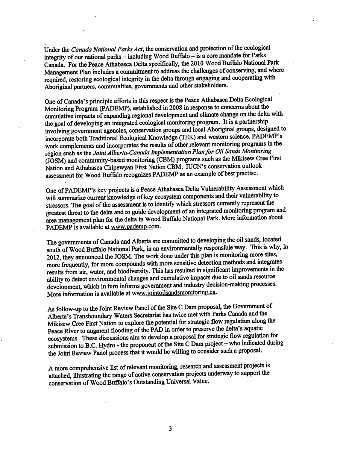Under the Canada National Parks Act, the conservation and protection of the ecological integrity of our national parks - including Wood Buffalo - is a core mandate for Parks Canada. For the Peace Athabasca Delta specifically, the 2010 Wood Buffalo National Park Management Plan includes a commitment to address the challenges of conserving, and where required, restoring ecological integrity in the delta through engaging and cooperating with Aboriginal partners, communities, governments and other stakeholders.

One of Canada's principle efforts in this respect is the Peace Athabasca Delta Ecological Monitoring Program (PADEMP), established in 2008 in response to concerns about the cumulative impacts of expanding regional development and climate change on the delta with the goal of developing an integrated ecological monitoring program. It is a partnership involving government agencies, conservation groups and local Aboriginal groups, designed to incorporate both Traditional Ecological Knowledge (TEK) and western science. PADEMP's work complements and incorporates the results of other relevant monitoring programs in the region such as the Joint Alberta-Canada Implementation Plan for Oil Sands Monitoring (JOSM) and community-based monitoring (CBM) programs such as the Mikisew Cree First Nation and Athabasca Chipewyan First Nation CBM. IUCN's conservation outlook assessment for Wood Buffalo recognizes PADEMP as an example of best practise.

One of PADEMP's key projects is a Peace Athabasca Delta Vulnerability Assessment which will summarize current knowledge of key ecosystem components and their vulnerability to stressors. The goal of the assessment is to identify which stressors currently represent the greatest threat to the delta and to guide development of an integrated monitoring program and area management plan for the delta in Wood Buffalo National Park. More information about PADEMP is available at www.pademp.com.

The governments of Canada and Alberta are committed to developing the oil sands, located south of Wood Buffalo National Park, in an environmentally responsible way. This is why, in 2012, they announced the JOSM. The work done under this plan is monitoring more sites, more frequently, for more compounds with more sensitive detection methods and integrates results from air, water, and biodiversity. This has resulted in significant improvements in the ability to detect environmental changes and cumulative impacts due to oil sands resource development, which in turn informs government and industry decision-making processes. More information is available at www.jointoilsandsmonitoring.ca.

As follow-up to the Joint Review Panel of the Site C Dam proposal, the Government of Alberta's Transboundary Waters Secretariat has twice met with Parks Canada and the Mikisew Cree First Nation to explore the potential for strategic flow regulation along the Peace River to augment flooding of the PAD in order to preserve the delta's aquatic ecosystems. These discussions aim to develop a proposal for strategic flow regulation for submission to B.C. Hydro - the proponent of the Site C Dam project - who indicated during the Joint Review Panel process that it would be willing to consider such a proposal.

A more comprehensive list of relevant monitoring, research and assessment projects is attached, illustrating the range of active conservation projects underway to support the conservation of Wood Buffalo's Outstanding Universal Value.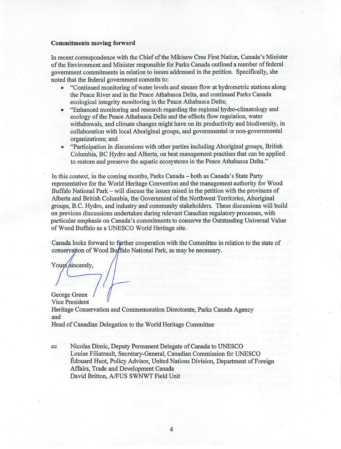#### Commitments moving forward

In recent correspondence with the Chief of the Mikisew Cree First Nation, Canada's Minister of the Environment and Minister responsible for Parks Canada outlined a number of federal government commitments in relation to issues addressed in the petition. Specifically, she noted that the federal government commits to:

- "Continued monitoring of water levels and stream flow at hydrometric stations along  $\bullet$ the Peace River and in the Peace Athabasca Delta, and continued Parks Canada ecological integrity monitoring in the Peace Athabasca Delta;
- "Enhanced monitoring and research regarding the regional hydro-climatology and  $\bullet$ ecology of the Peace Athabasca Delta and the effects flow regulation, water withdrawals, and climate changes might have on its productivity and biodiversity, in collaboration with local Aboriginal groups, and governmental or non-governmental organizations; and
- "Participation in discussions with other parties including Aboriginal groups, British  $\bullet$ Columbia, BC Hydro and Alberta, on best management practises that can be applied to restore and preserve the aquatic ecosystems in the Peace Athabasca Delta."

In this context, in the coming months, Parks Canada – both as Canada's State Party representative for the World Heritage Convention and the management authority for Wood Buffalo National Park – will discuss the issues raised in the petition with the provinces of Alberta and British Columbia, the Government of the Northwest Territories, Aboriginal groups, B.C. Hydro, and industry and community stakeholders. These discussions will build on previous discussions undertaken during relevant Canadian regulatory processes, with particular emphasis on Canada's commitments to conserve the Outstanding Universal Value of Wood Buffalo as a UNESCO World Heritage site.

Canada looks forward to further cooperation with the Committee in relation to the state of conservation of Wood Buffalo National Park, as may be necessary.

Yours sincerely,

George Green Vice President Heritage Conservation and Commemoration Directorate, Parks Canada Agency and Head of Canadian Delegation to the World Heritage Committee

 $cc$ 

Nicolas Dimic, Deputy Permanent Delegate of Canada to UNESCO Louise Filiatrault, Secretary-General, Canadian Commission for UNESCO Édouard Huot, Policy Advisor, United Nations Division, Department of Foreign Affairs, Trade and Development Canada David Britton, A/FUS SWNWT Field Unit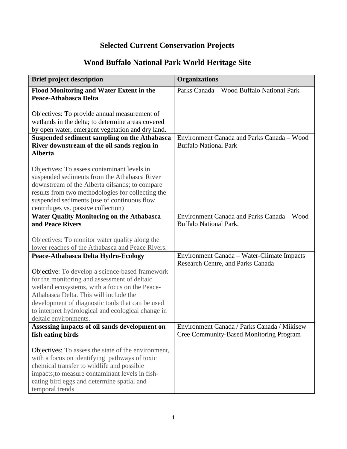# **Selected Current Conservation Projects**

# **Wood Buffalo National Park World Heritage Site**

| <b>Brief project description</b>                                                                                                                                                                                                                                                                                               | <b>Organizations</b>                                                                          |
|--------------------------------------------------------------------------------------------------------------------------------------------------------------------------------------------------------------------------------------------------------------------------------------------------------------------------------|-----------------------------------------------------------------------------------------------|
| Flood Monitoring and Water Extent in the<br>Peace-Athabasca Delta                                                                                                                                                                                                                                                              | Parks Canada - Wood Buffalo National Park                                                     |
| Objectives: To provide annual measurement of<br>wetlands in the delta; to determine areas covered<br>by open water, emergent vegetation and dry land.                                                                                                                                                                          |                                                                                               |
| Suspended sediment sampling on the Athabasca<br>River downstream of the oil sands region in<br><b>Alberta</b>                                                                                                                                                                                                                  | Environment Canada and Parks Canada - Wood<br><b>Buffalo National Park</b>                    |
| Objectives: To assess contaminant levels in<br>suspended sediments from the Athabasca River<br>downstream of the Alberta oilsands; to compare<br>results from two methodologies for collecting the<br>suspended sediments (use of continuous flow<br>centrifuges vs. passive collection)                                       |                                                                                               |
| <b>Water Quality Monitoring on the Athabasca</b><br>and Peace Rivers                                                                                                                                                                                                                                                           | Environment Canada and Parks Canada - Wood<br><b>Buffalo National Park.</b>                   |
| Objectives: To monitor water quality along the<br>lower reaches of the Athabasca and Peace Rivers.                                                                                                                                                                                                                             |                                                                                               |
| Peace-Athabasca Delta Hydro-Ecology                                                                                                                                                                                                                                                                                            | Environment Canada – Water-Climate Impacts<br>Research Centre, and Parks Canada               |
| Objective: To develop a science-based framework<br>for the monitoring and assessment of deltaic<br>wetland ecosystems, with a focus on the Peace-<br>Athabasca Delta. This will include the<br>development of diagnostic tools that can be used<br>to interpret hydrological and ecological change in<br>deltaic environments. |                                                                                               |
| Assessing impacts of oil sands development on<br>fish eating birds                                                                                                                                                                                                                                                             | Environment Canada / Parks Canada / Mikisew<br><b>Cree Community-Based Monitoring Program</b> |
| Objectives: To assess the state of the environment,<br>with a focus on identifying pathways of toxic<br>chemical transfer to wildlife and possible<br>impacts; to measure contaminant levels in fish-<br>eating bird eggs and determine spatial and<br>temporal trends                                                         |                                                                                               |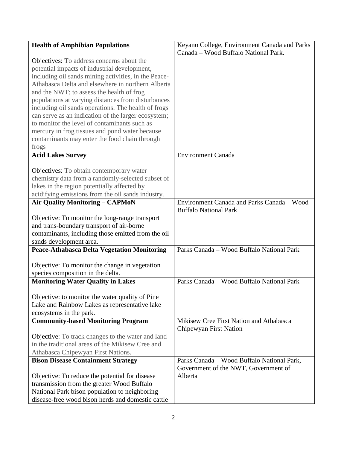| <b>Health of Amphibian Populations</b>                                                              | Keyano College, Environment Canada and Parks |
|-----------------------------------------------------------------------------------------------------|----------------------------------------------|
|                                                                                                     | Canada - Wood Buffalo National Park.         |
| Objectives: To address concerns about the                                                           |                                              |
| potential impacts of industrial development,                                                        |                                              |
| including oil sands mining activities, in the Peace-                                                |                                              |
| Athabasca Delta and elsewhere in northern Alberta                                                   |                                              |
| and the NWT; to assess the health of frog                                                           |                                              |
| populations at varying distances from disturbances                                                  |                                              |
| including oil sands operations. The health of frogs                                                 |                                              |
| can serve as an indication of the larger ecosystem;<br>to monitor the level of contaminants such as |                                              |
|                                                                                                     |                                              |
| mercury in frog tissues and pond water because<br>contaminants may enter the food chain through     |                                              |
| frogs                                                                                               |                                              |
| <b>Acid Lakes Survey</b>                                                                            | <b>Environment Canada</b>                    |
|                                                                                                     |                                              |
| Objectives: To obtain contemporary water                                                            |                                              |
| chemistry data from a randomly-selected subset of                                                   |                                              |
| lakes in the region potentially affected by                                                         |                                              |
| acidifying emissions from the oil sands industry.                                                   |                                              |
| <b>Air Quality Monitoring - CAPMoN</b>                                                              | Environment Canada and Parks Canada - Wood   |
|                                                                                                     | <b>Buffalo National Park</b>                 |
| Objective: To monitor the long-range transport                                                      |                                              |
| and trans-boundary transport of air-borne                                                           |                                              |
| contaminants, including those emitted from the oil                                                  |                                              |
| sands development area.                                                                             |                                              |
| <b>Peace-Athabasca Delta Vegetation Monitoring</b>                                                  | Parks Canada - Wood Buffalo National Park    |
| Objective: To monitor the change in vegetation                                                      |                                              |
| species composition in the delta.                                                                   |                                              |
| <b>Monitoring Water Quality in Lakes</b>                                                            | Parks Canada - Wood Buffalo National Park    |
|                                                                                                     |                                              |
| Objective: to monitor the water quality of Pine                                                     |                                              |
| Lake and Rainbow Lakes as representative lake                                                       |                                              |
| ecosystems in the park.                                                                             |                                              |
| <b>Community-based Monitoring Program</b>                                                           | Mikisew Cree First Nation and Athabasca      |
|                                                                                                     | Chipewyan First Nation                       |
| Objective: To track changes to the water and land                                                   |                                              |
| in the traditional areas of the Mikisew Cree and                                                    |                                              |
| Athabasca Chipewyan First Nations.                                                                  | Parks Canada - Wood Buffalo National Park,   |
| <b>Bison Disease Containment Strategy</b>                                                           | Government of the NWT, Government of         |
| Objective: To reduce the potential for disease                                                      | Alberta                                      |
| transmission from the greater Wood Buffalo                                                          |                                              |
| National Park bison population to neighboring                                                       |                                              |
| disease-free wood bison herds and domestic cattle                                                   |                                              |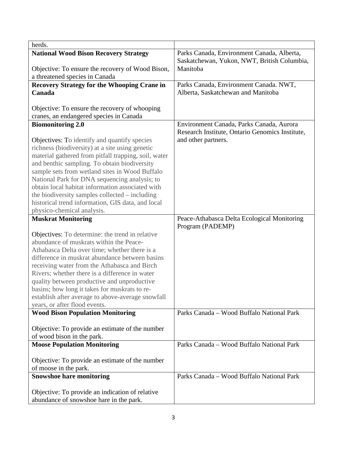| herds.                                                                          |                                                 |
|---------------------------------------------------------------------------------|-------------------------------------------------|
| <b>National Wood Bison Recovery Strategy</b>                                    | Parks Canada, Environment Canada, Alberta,      |
|                                                                                 | Saskatchewan, Yukon, NWT, British Columbia,     |
| Objective: To ensure the recovery of Wood Bison,                                | Manitoba                                        |
| a threatened species in Canada                                                  |                                                 |
| <b>Recovery Strategy for the Whooping Crane in</b>                              | Parks Canada, Environment Canada. NWT,          |
| Canada                                                                          | Alberta, Saskatchewan and Manitoba              |
|                                                                                 |                                                 |
| Objective: To ensure the recovery of whooping                                   |                                                 |
| cranes, an endangered species in Canada                                         |                                                 |
| <b>Biomonitoring 2.0</b>                                                        | Environment Canada, Parks Canada, Aurora        |
|                                                                                 | Research Institute, Ontario Genomics Institute, |
| Objectives: To identify and quantify species                                    | and other partners.                             |
| richness (biodiversity) at a site using genetic                                 |                                                 |
| material gathered from pitfall trapping, soil, water                            |                                                 |
| and benthic sampling. To obtain biodiversity                                    |                                                 |
| sample sets from wetland sites in Wood Buffalo                                  |                                                 |
| National Park for DNA sequencing analysis; to                                   |                                                 |
| obtain local habitat information associated with                                |                                                 |
| the biodiversity samples collected – including                                  |                                                 |
| historical trend information, GIS data, and local<br>physico-chemical analysis. |                                                 |
| <b>Muskrat Monitoring</b>                                                       | Peace-Athabasca Delta Ecological Monitoring     |
|                                                                                 | Program (PADEMP)                                |
| Objectives: To determine: the trend in relative                                 |                                                 |
| abundance of muskrats within the Peace-                                         |                                                 |
| Athabasca Delta over time; whether there is a                                   |                                                 |
| difference in muskrat abundance between basins                                  |                                                 |
| receiving water from the Athabasca and Birch                                    |                                                 |
| Rivers; whether there is a difference in water                                  |                                                 |
| quality between productive and unproductive                                     |                                                 |
| basins; how long it takes for muskrats to re-                                   |                                                 |
| establish after average to above-average snowfall                               |                                                 |
| years, or after flood events.                                                   |                                                 |
| <b>Wood Bison Population Monitoring</b>                                         | Parks Canada - Wood Buffalo National Park       |
|                                                                                 |                                                 |
| Objective: To provide an estimate of the number                                 |                                                 |
| of wood bison in the park.                                                      |                                                 |
| <b>Moose Population Monitoring</b>                                              | Parks Canada – Wood Buffalo National Park       |
|                                                                                 |                                                 |
| Objective: To provide an estimate of the number                                 |                                                 |
| of moose in the park.                                                           |                                                 |
| <b>Snowshoe hare monitoring</b>                                                 | Parks Canada - Wood Buffalo National Park       |
|                                                                                 |                                                 |
| Objective: To provide an indication of relative                                 |                                                 |
| abundance of snowshoe hare in the park.                                         |                                                 |